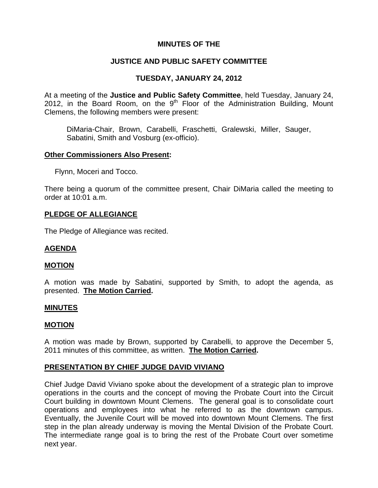## **MINUTES OF THE**

## **JUSTICE AND PUBLIC SAFETY COMMITTEE**

## **TUESDAY, JANUARY 24, 2012**

At a meeting of the **Justice and Public Safety Committee**, held Tuesday, January 24, 2012, in the Board Room, on the  $9<sup>th</sup>$  Floor of the Administration Building, Mount Clemens, the following members were present:

DiMaria-Chair, Brown, Carabelli, Fraschetti, Gralewski, Miller, Sauger, Sabatini, Smith and Vosburg (ex-officio).

### **Other Commissioners Also Present:**

Flynn, Moceri and Tocco.

There being a quorum of the committee present, Chair DiMaria called the meeting to order at 10:01 a.m.

### **PLEDGE OF ALLEGIANCE**

The Pledge of Allegiance was recited.

### **AGENDA**

#### **MOTION**

A motion was made by Sabatini, supported by Smith, to adopt the agenda, as presented. **The Motion Carried.** 

#### **MINUTES**

### **MOTION**

A motion was made by Brown, supported by Carabelli, to approve the December 5, 2011 minutes of this committee, as written. **The Motion Carried.** 

### **PRESENTATION BY CHIEF JUDGE DAVID VIVIANO**

Chief Judge David Viviano spoke about the development of a strategic plan to improve operations in the courts and the concept of moving the Probate Court into the Circuit Court building in downtown Mount Clemens. The general goal is to consolidate court operations and employees into what he referred to as the downtown campus. Eventually, the Juvenile Court will be moved into downtown Mount Clemens. The first step in the plan already underway is moving the Mental Division of the Probate Court. The intermediate range goal is to bring the rest of the Probate Court over sometime next year.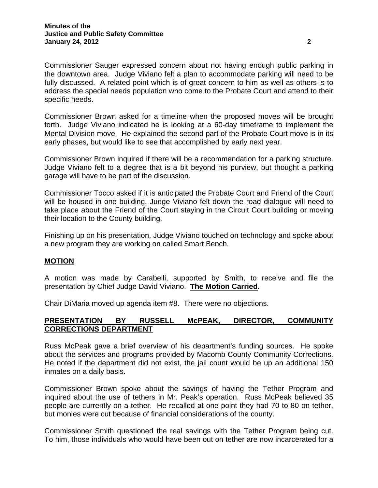Commissioner Sauger expressed concern about not having enough public parking in the downtown area. Judge Viviano felt a plan to accommodate parking will need to be fully discussed. A related point which is of great concern to him as well as others is to address the special needs population who come to the Probate Court and attend to their specific needs.

Commissioner Brown asked for a timeline when the proposed moves will be brought forth. Judge Viviano indicated he is looking at a 60-day timeframe to implement the Mental Division move. He explained the second part of the Probate Court move is in its early phases, but would like to see that accomplished by early next year.

Commissioner Brown inquired if there will be a recommendation for a parking structure. Judge Viviano felt to a degree that is a bit beyond his purview, but thought a parking garage will have to be part of the discussion.

Commissioner Tocco asked if it is anticipated the Probate Court and Friend of the Court will be housed in one building. Judge Viviano felt down the road dialogue will need to take place about the Friend of the Court staying in the Circuit Court building or moving their location to the County building.

Finishing up on his presentation, Judge Viviano touched on technology and spoke about a new program they are working on called Smart Bench.

### **MOTION**

A motion was made by Carabelli, supported by Smith, to receive and file the presentation by Chief Judge David Viviano. **The Motion Carried.** 

Chair DiMaria moved up agenda item #8. There were no objections.

## **PRESENTATION BY RUSSELL McPEAK, DIRECTOR, COMMUNITY CORRECTIONS DEPARTMENT**

Russ McPeak gave a brief overview of his department's funding sources. He spoke about the services and programs provided by Macomb County Community Corrections. He noted if the department did not exist, the jail count would be up an additional 150 inmates on a daily basis.

Commissioner Brown spoke about the savings of having the Tether Program and inquired about the use of tethers in Mr. Peak's operation. Russ McPeak believed 35 people are currently on a tether. He recalled at one point they had 70 to 80 on tether, but monies were cut because of financial considerations of the county.

Commissioner Smith questioned the real savings with the Tether Program being cut. To him, those individuals who would have been out on tether are now incarcerated for a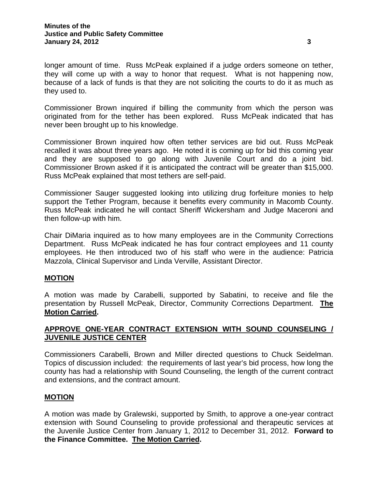longer amount of time. Russ McPeak explained if a judge orders someone on tether, they will come up with a way to honor that request. What is not happening now, because of a lack of funds is that they are not soliciting the courts to do it as much as they used to.

Commissioner Brown inquired if billing the community from which the person was originated from for the tether has been explored. Russ McPeak indicated that has never been brought up to his knowledge.

Commissioner Brown inquired how often tether services are bid out. Russ McPeak recalled it was about three years ago. He noted it is coming up for bid this coming year and they are supposed to go along with Juvenile Court and do a joint bid. Commissioner Brown asked if it is anticipated the contract will be greater than \$15,000. Russ McPeak explained that most tethers are self-paid.

Commissioner Sauger suggested looking into utilizing drug forfeiture monies to help support the Tether Program, because it benefits every community in Macomb County. Russ McPeak indicated he will contact Sheriff Wickersham and Judge Maceroni and then follow-up with him.

Chair DiMaria inquired as to how many employees are in the Community Corrections Department. Russ McPeak indicated he has four contract employees and 11 county employees. He then introduced two of his staff who were in the audience: Patricia Mazzola, Clinical Supervisor and Linda Verville, Assistant Director.

## **MOTION**

A motion was made by Carabelli, supported by Sabatini, to receive and file the presentation by Russell McPeak, Director, Community Corrections Department. **The Motion Carried.** 

## **APPROVE ONE-YEAR CONTRACT EXTENSION WITH SOUND COUNSELING / JUVENILE JUSTICE CENTER**

Commissioners Carabelli, Brown and Miller directed questions to Chuck Seidelman. Topics of discussion included: the requirements of last year's bid process, how long the county has had a relationship with Sound Counseling, the length of the current contract and extensions, and the contract amount.

### **MOTION**

A motion was made by Gralewski, supported by Smith, to approve a one-year contract extension with Sound Counseling to provide professional and therapeutic services at the Juvenile Justice Center from January 1, 2012 to December 31, 2012. **Forward to the Finance Committee. The Motion Carried.**